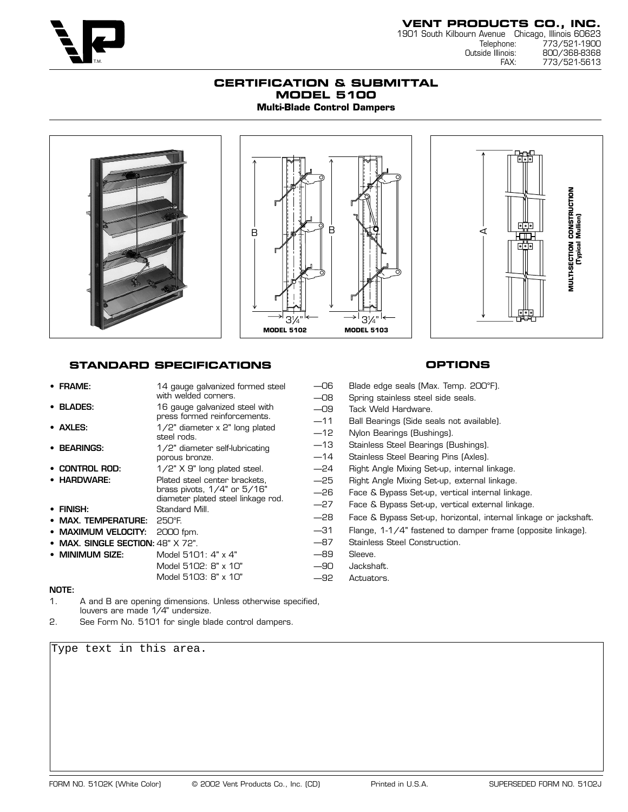

773/521-5613

### **CERTIFICATION & SUBMITTAL MODEL 5100 Multi-Blade Control Dampers**



# **STANDARD SPECIFICATIONS**

| $\bullet$ FRAME:                       | 14 gauge galvanized formed steel                                                                                   | $-06$                   | Blade edge seals (Max. Temp. 200°F).                                                                            |
|----------------------------------------|--------------------------------------------------------------------------------------------------------------------|-------------------------|-----------------------------------------------------------------------------------------------------------------|
|                                        | with welded corners.                                                                                               | $-08$                   | Spring stainless steel side seals.                                                                              |
| • BLADES:                              | 16 gauge galvanized steel with                                                                                     | $-09$                   | Tack Weld Hardware.                                                                                             |
| • AXLES:<br>• BEARINGS:                | press formed reinforcements.<br>$1/2$ " diameter x 2" long plated<br>steel rods.<br>1/2" diameter self-lubricating | $-11$<br>$-12$<br>$-13$ | Ball Bearings (Side seals not available).<br>Nylon Bearings (Bushings).<br>Stainless Steel Bearings (Bushings). |
|                                        | porous bronze.                                                                                                     | $-14$                   | Stainless Steel Bearing Pins (Axles).                                                                           |
| • CONTROL ROD:                         | 1/2" X 9" long plated steel.                                                                                       | $-24$                   | Right Angle Mixing Set-up, internal linkage.                                                                    |
| • HARDWARE:                            | Plated steel center brackets.                                                                                      | $-25$                   | Right Angle Mixing Set-up, external linkage.                                                                    |
|                                        | brass pivots, $1/4$ " or $5/16$ "<br>diameter plated steel linkage rod.                                            | $-26$                   | Face & Bypass Set-up, vertical internal linkage.                                                                |
| • FINISH:                              | Standard Mill.                                                                                                     | $-27$                   | Face & Bypass Set-up, vertical external linkage.                                                                |
| • MAX. TEMPERATURE:                    | 250°F.                                                                                                             | $-28$                   | Face & Bypass Set-up, horizontal, internal linkage or jackshaft.                                                |
| • MAXIMUM VELOCITY:                    | 2000 fpm.                                                                                                          | $-31$                   | Flange, 1-1/4" fastened to damper frame (opposite linkage).                                                     |
| • MAX, SINGLE SECTION: $48"$ X $72"$ . |                                                                                                                    | $-87$                   | Stainless Steel Construction.                                                                                   |
| • MINIMUM SIZE:                        | Model 5101: 4" x 4"                                                                                                | $-89$                   | Sleeve.                                                                                                         |
|                                        | Model 5102: 8" x 10"                                                                                               | $-90$                   | Jackshaft.                                                                                                      |
|                                        | Model 5103: 8" x 10"                                                                                               | $-92$                   | Actuators.                                                                                                      |
| NOTE:                                  |                                                                                                                    |                         |                                                                                                                 |

### 1. A and B are opening dimensions. Unless otherwise specified, louvers are made 1/4" undersize.

2. See Form No. 5101 for single blade control dampers.

Type text in this area.

# **OPTIONS**

FORM NO. 5102K (White Color) © 2002 Vent Products Co., Inc. (CD) Printed in U.S.A. SUPERSEDED FORM NO. 5102J